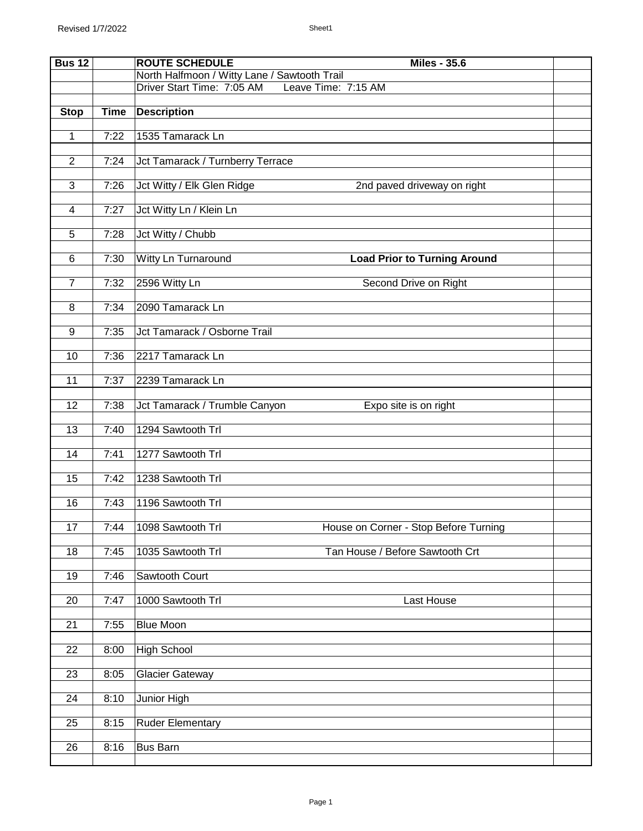| <b>Bus 12</b>   |             | <b>ROUTE SCHEDULE</b><br><b>Miles - 35.6</b>                    |  |
|-----------------|-------------|-----------------------------------------------------------------|--|
|                 |             | North Halfmoon / Witty Lane / Sawtooth Trail                    |  |
|                 |             | Driver Start Time: 7:05 AM<br>Leave Time: 7:15 AM               |  |
| <b>Stop</b>     | <b>Time</b> | <b>Description</b>                                              |  |
|                 |             |                                                                 |  |
| 1               | 7:22        | 1535 Tamarack Ln                                                |  |
| $\overline{2}$  | 7:24        | Jct Tamarack / Turnberry Terrace                                |  |
|                 |             |                                                                 |  |
| $\overline{3}$  | 7:26        | Jct Witty / Elk Glen Ridge<br>2nd paved driveway on right       |  |
| 4               | 7:27        | Jct Witty Ln / Klein Ln                                         |  |
|                 |             |                                                                 |  |
| 5               | 7:28        | Jct Witty / Chubb                                               |  |
|                 |             |                                                                 |  |
| 6               | 7:30        | Witty Ln Turnaround<br><b>Load Prior to Turning Around</b>      |  |
| $\overline{7}$  | 7:32        | 2596 Witty Ln                                                   |  |
|                 |             | Second Drive on Right                                           |  |
| 8               | 7:34        | 2090 Tamarack Ln                                                |  |
|                 |             |                                                                 |  |
| 9               | 7:35        | Jct Tamarack / Osborne Trail                                    |  |
| 10              | 7:36        | 2217 Tamarack Ln                                                |  |
|                 |             |                                                                 |  |
| 11              | 7:37        | 2239 Tamarack Ln                                                |  |
|                 |             |                                                                 |  |
| 12              | 7:38        | Jct Tamarack / Trumble Canyon<br>Expo site is on right          |  |
| 13              | 7:40        | 1294 Sawtooth Trl                                               |  |
|                 |             |                                                                 |  |
| 14              | 7:41        | 1277 Sawtooth Trl                                               |  |
|                 |             |                                                                 |  |
| $\overline{15}$ | 7:42        | 1238 Sawtooth Trl                                               |  |
| 16              | 7:43        | 1196 Sawtooth Trl                                               |  |
|                 |             |                                                                 |  |
| 17              |             | 7:44 1098 Sawtooth Trl<br>House on Corner - Stop Before Turning |  |
|                 |             |                                                                 |  |
| 18              | 7:45        | 1035 Sawtooth Trl<br>Tan House / Before Sawtooth Crt            |  |
| 19              | 7:46        | Sawtooth Court                                                  |  |
|                 |             |                                                                 |  |
| 20              | 7:47        | 1000 Sawtooth Trl<br>Last House                                 |  |
| 21              | 7:55        | <b>Blue Moon</b>                                                |  |
|                 |             |                                                                 |  |
| 22              | 8:00        | <b>High School</b>                                              |  |
|                 |             |                                                                 |  |
| 23              | 8:05        | <b>Glacier Gateway</b>                                          |  |
| 24              | 8:10        | Junior High                                                     |  |
|                 |             |                                                                 |  |
| 25              | 8:15        | <b>Ruder Elementary</b>                                         |  |
|                 |             |                                                                 |  |
| $\overline{26}$ | 8:16        | <b>Bus Barn</b>                                                 |  |
|                 |             |                                                                 |  |